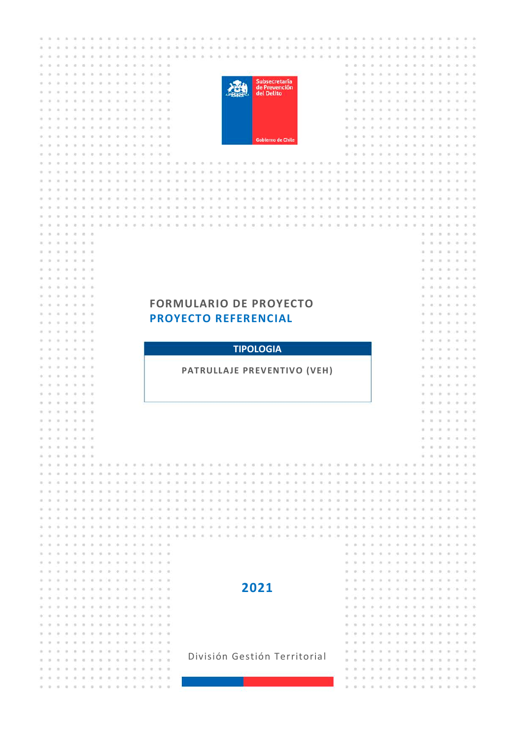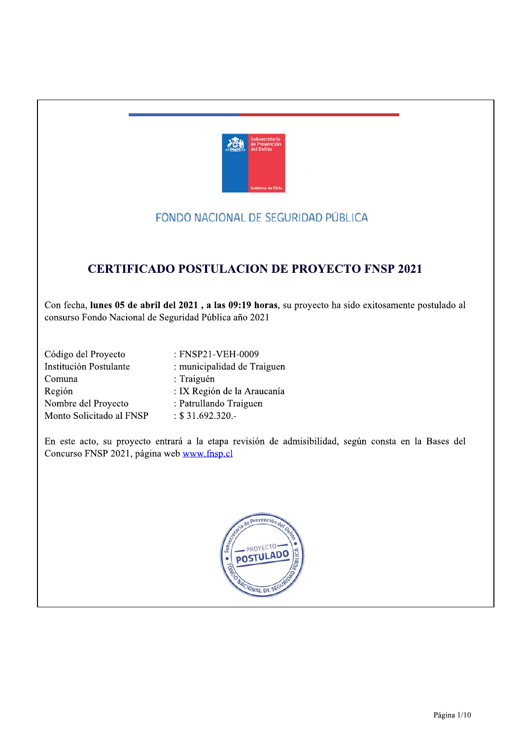

## FONDO NACIONAL DE SEGURIDAD PÚBLICA

# **CERTIFICADO POSTULACION DE PROYECTO FNSP 2021**

Con fecha, lunes 05 de abril del 2021, a las 09:19 horas, su proyecto ha sido exitosamente postulado al consurso Fondo Nacional de Seguridad Pública año 2021

| Código del Proyecto      | : FNSP21-VEH-0009           |
|--------------------------|-----------------------------|
| Institución Postulante   | : municipalidad de Traiguen |
| Comuna                   | : Traiguén                  |
| Región                   | : IX Región de la Araucanía |
| Nombre del Proyecto      | : Patrullando Traiguen      |
| Monto Solicitado al FNSP | $: $31.692.320. -$          |

En este acto, su proyecto entrará a la etapa revisión de admisibilidad, según consta en la Bases del Concurso FNSP 2021, página web www.fnsp.cl

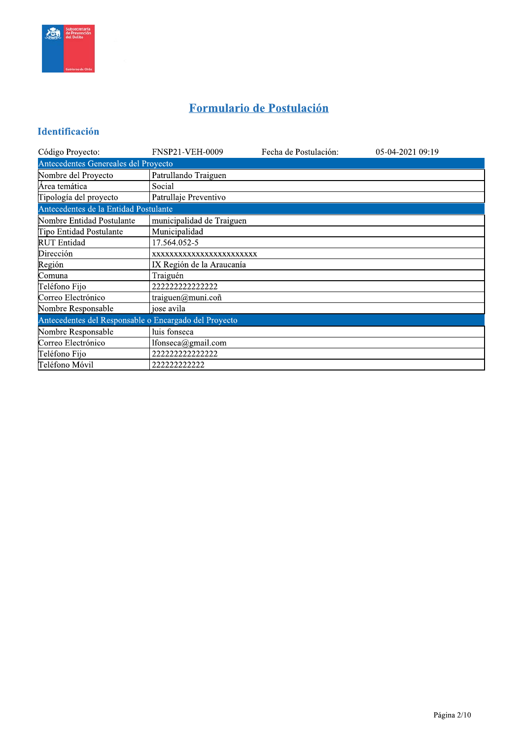

# Formulario de Postulación

### Identificación

| Código Proyecto:                                      | <b>FNSP21-VEH-0009</b>    | Fecha de Postulación: | 05-04-2021 09:19 |  |  |  |  |  |  |  |  |
|-------------------------------------------------------|---------------------------|-----------------------|------------------|--|--|--|--|--|--|--|--|
| Antecedentes Genereales del Proyecto                  |                           |                       |                  |  |  |  |  |  |  |  |  |
| Nombre del Proyecto                                   | Patrullando Traiguen      |                       |                  |  |  |  |  |  |  |  |  |
| Área temática                                         | Social                    |                       |                  |  |  |  |  |  |  |  |  |
| Tipología del proyecto                                | Patrullaje Preventivo     |                       |                  |  |  |  |  |  |  |  |  |
| Antecedentes de la Entidad Postulante                 |                           |                       |                  |  |  |  |  |  |  |  |  |
| Nombre Entidad Postulante                             | municipalidad de Traiguen |                       |                  |  |  |  |  |  |  |  |  |
| Tipo Entidad Postulante                               | Municipalidad             |                       |                  |  |  |  |  |  |  |  |  |
| <b>RUT</b> Entidad                                    | 17.564.052-5              |                       |                  |  |  |  |  |  |  |  |  |
| Dirección                                             | XXXXXXXXXXXXXXXXXXXXXXXX  |                       |                  |  |  |  |  |  |  |  |  |
| Región                                                | IX Región de la Araucanía |                       |                  |  |  |  |  |  |  |  |  |
| Comuna                                                | Traiguén                  |                       |                  |  |  |  |  |  |  |  |  |
| Teléfono Fijo                                         | 222222222222222           |                       |                  |  |  |  |  |  |  |  |  |
| Correo Electrónico                                    | traiguen $@$ muni.coñ     |                       |                  |  |  |  |  |  |  |  |  |
| Nombre Responsable                                    | jose avila                |                       |                  |  |  |  |  |  |  |  |  |
| Antecedentes del Responsable o Encargado del Proyecto |                           |                       |                  |  |  |  |  |  |  |  |  |
| Nombre Responsable                                    | luis fonseca              |                       |                  |  |  |  |  |  |  |  |  |
| Correo Electrónico                                    | lfonseca@gmail.com        |                       |                  |  |  |  |  |  |  |  |  |
| Teléfono Fijo                                         | 222222222222222           |                       |                  |  |  |  |  |  |  |  |  |
| ∏eléfono Móvil                                        | 222222222222              |                       |                  |  |  |  |  |  |  |  |  |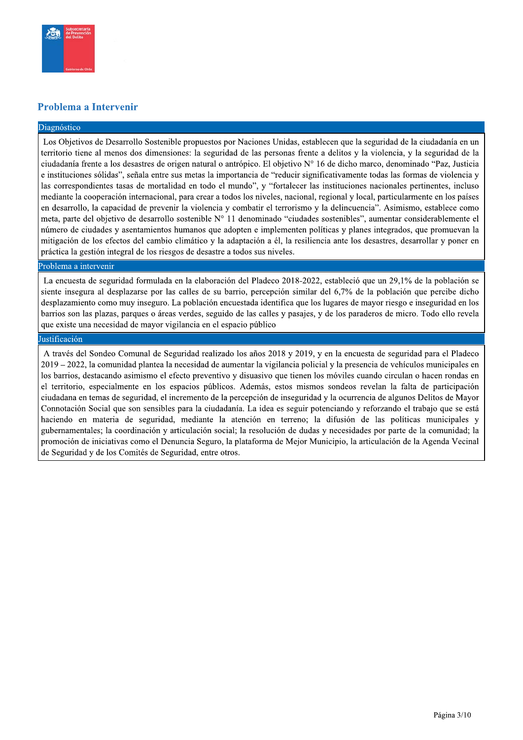

#### Problema a Intervenir

#### Diagnóstico

Los Objetivos de Desarrollo Sostenible propuestos por Naciones Unidas, establecen que la seguridad de la ciudadanía en un territorio tiene al menos dos dimensiones: la seguridad de las personas frente a delitos y la violencia, y la seguridad de la ciudadanía frente a los desastres de origen natural o antrópico. El objetivo N° 16 de dicho marco, denominado "Paz, Justicia e instituciones sólidas", señala entre sus metas la importancia de "reducir significativamente todas las formas de violencia y las correspondientes tasas de mortalidad en todo el mundo", y "fortalecer las instituciones nacionales pertinentes, incluso mediante la cooperación internacional, para crear a todos los niveles, nacional, regional y local, particularmente en los países en desarrollo, la capacidad de prevenir la violencia y combatir el terrorismo y la delincuencia". Asimismo, establece como meta, parte del objetivo de desarrollo sostenible N° 11 denominado "ciudades sostenibles", aumentar considerablemente el número de ciudades y asentamientos humanos que adopten e implementen políticas y planes integrados, que promuevan la mitigación de los efectos del cambio climático y la adaptación a él, la resiliencia ante los desastres, desarrollar y poner en práctica la gestión integral de los riesgos de desastre a todos sus niveles.

#### Problema a intervenir

La encuesta de seguridad formulada en la elaboración del Pladeco 2018-2022, estableció que un 29,1% de la población se siente insegura al desplazarse por las calles de su barrio, percepción similar del 6,7% de la población que percibe dicho desplazamiento como muy inseguro. La población encuestada identifica que los lugares de mayor riesgo e inseguridad en los barrios son las plazas, parques o áreas verdes, seguido de las calles y pasajes, y de los paraderos de micro. Todo ello revela que existe una necesidad de mayor vigilancia en el espacio público

#### Justificación

A través del Sondeo Comunal de Seguridad realizado los años 2018 y 2019, y en la encuesta de seguridad para el Pladeco 2019 – 2022, la comunidad plantea la necesidad de aumentar la vigilancia policial y la presencia de vehículos municipales en los barrios, destacando asimismo el efecto preventivo y disuasivo que tienen los móviles cuando circulan o hacen rondas en el territorio, especialmente en los espacios públicos. Además, estos mismos sondeos revelan la falta de participación ciudadana en temas de seguridad, el incremento de la percepción de inseguridad y la ocurrencia de algunos Delitos de Mayor Connotación Social que son sensibles para la ciudadanía. La idea es seguir potenciando y reforzando el trabajo que se está haciendo en materia de seguridad, mediante la atención en terreno; la difusión de las políticas municipales y gubernamentales; la coordinación y articulación social; la resolución de dudas y necesidades por parte de la comunidad; la promoción de iniciativas como el Denuncia Seguro, la plataforma de Mejor Municipio, la articulación de la Agenda Vecinal de Seguridad y de los Comités de Seguridad, entre otros.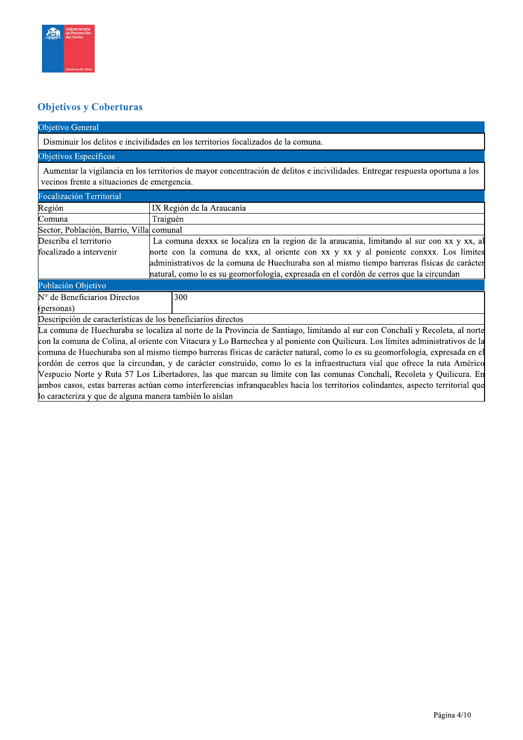

#### **Objetivos y Coberturas**

#### Objetivo General

Disminuir los delitos e incivilidades en los territorios focalizados de la comuna.

#### Objetivos Específicos

Aumentar la vigilancia en los territorios de mayor concentración de delitos e incivilidades. Entregar respuesta oportuna a los vecinos frente a situaciones de emergencia.

| Focalización Territorial                                     |                                                                                                                                |
|--------------------------------------------------------------|--------------------------------------------------------------------------------------------------------------------------------|
| Región                                                       | IX Región de la Araucanía                                                                                                      |
| Comuna                                                       | Traiguén                                                                                                                       |
| Sector, Población, Barrio, Villa comunal                     |                                                                                                                                |
| Describa el territorio                                       | La comuna dexxx se localiza en la region de la araucania, limitando al sur con xx y xx, al                                     |
| focalizado a intervenir                                      | norte con la comuna de xxx, al oriente con xx y xx y al poniente conxxx. Los límites                                           |
|                                                              | administrativos de la comuna de Huechuraba son al mismo tiempo barreras físicas de carácter                                    |
|                                                              | hatural, como lo es su geomorfología, expresada en el cordón de cerros que la circundan                                        |
| Población Objetivo                                           |                                                                                                                                |
| $N°$ de Beneficiarios Directos                               | 300                                                                                                                            |
| (personas)                                                   |                                                                                                                                |
| Descripción de características de los beneficiarios directos |                                                                                                                                |
|                                                              | La comuna de Huechuraba se localiza al norte de la Provincia de Santiago, limitando al sur con Conchalí y Recoleta, al norte   |
|                                                              | con la comuna de Colina, al oriente con Vitacura y Lo Barnechea y al poniente con Quilicura. Los límites administrativos de la |
|                                                              | comuna de Huechuraba son al mismo tiempo barreras físicas de carácter natural, como lo es su geomorfología, expresada en el    |
|                                                              | cordón de cerros que la circundan, y de carácter construido, como lo es la infraestructura vial que ofrece la ruta Américo     |

Vespucio Norte y Ruta 57 Los Libertadores, las que marcan su límite con las comunas Conchalí, Recoleta y Quilicura. En ambos casos, estas barreras actúan como interferencias infranqueables hacia los territorios colindantes, aspecto territorial que lo caracteriza y que de alguna manera también lo aíslan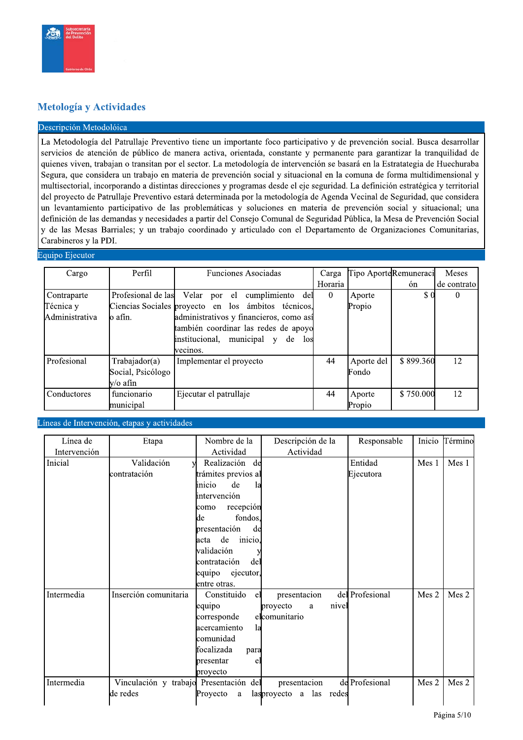#### Metología y Actividades

#### Descripción Metodolóica

La Metodología del Patrullaje Preventivo tiene un importante foco participativo y de prevención social. Busca desarrollar servicios de atención de público de manera activa, orientada, constante y permanente para garantizar la tranquilidad de quienes viven, trabajan o transitan por el sector. La metodología de intervención se basará en la Estratategia de Huechuraba Segura, que considera un trabajo en materia de prevención social y situacional en la comuna de forma multidimensional y multisectorial, incorporando a distintas direcciones y programas desde el eje seguridad. La definición estratégica y territorial del proyecto de Patrullaje Preventivo estará determinada por la metodología de Agenda Vecinal de Seguridad, que considera un levantamiento participativo de las problemáticas y soluciones en materia de prevención social y situacional; una definición de las demandas y necesidades a partir del Consejo Comunal de Seguridad Pública, la Mesa de Prevención Social y de las Mesas Barriales; y un trabajo coordinado y articulado con el Departamento de Organizaciones Comunitarias, Carabineros y la PDI.

#### Equipo Ejecutor

| Cargo           | Perfil             | <b>Funciones Asociadas</b>                          | Carga    |            | Tipo AporteRemuneraci | Meses         |
|-----------------|--------------------|-----------------------------------------------------|----------|------------|-----------------------|---------------|
|                 |                    |                                                     | Horaria  |            | ón                    | de contrato l |
| Contraparte     | Profesional de las | Velar por el<br>cumplimiento del                    | $\theta$ | Aporte     | $\Omega$              | O             |
| Técnica y       |                    | Ciencias Sociales proyecto en los ámbitos técnicos, |          | Propio     |                       |               |
| lAdministrativa | lo afín.           | administrativos y financieros, como así             |          |            |                       |               |
|                 |                    | también coordinar las redes de apoyo                |          |            |                       |               |
|                 |                    | institucional, municipal y<br>de<br>los             |          |            |                       |               |
|                 |                    | vecinos.                                            |          |            |                       |               |
| Profesional     | Trabajador(a)      | Implementar el proyecto                             | 44       | Aporte del | \$899.360             | 12            |
|                 | Social, Psicólogo  |                                                     |          | Fondo      |                       |               |
|                 | lv∕o afín          |                                                     |          |            |                       |               |
| Conductores     | funcionario        | Ejecutar el patrullaje                              | 44       | Aporte     | \$750,000             | 12            |
|                 | municipal          |                                                     |          | Propio     |                       |               |

Líneas de Intervención, etapas y actividades

| Línea de     | Etapa                              | Nombre de la          | Descripción de la       |       | Responsable     |       | Inicio Término |
|--------------|------------------------------------|-----------------------|-------------------------|-------|-----------------|-------|----------------|
| Intervención |                                    | Actividad             | Actividad               |       |                 |       |                |
| Inicial      | Validación                         | Realización<br>de     |                         |       | Entidad         | Mes 1 | Mes 1          |
|              | contratación                       | trámites previos al   |                         |       | Ejecutora       |       |                |
|              |                                    | inicio<br>de<br>la    |                         |       |                 |       |                |
|              |                                    | lintervención         |                         |       |                 |       |                |
|              |                                    | recepción<br>como     |                         |       |                 |       |                |
|              |                                    | fondos,<br>de         |                         |       |                 |       |                |
|              |                                    | presentación<br>de    |                         |       |                 |       |                |
|              |                                    | de<br>inicio,<br>acta |                         |       |                 |       |                |
|              |                                    | validación            |                         |       |                 |       |                |
|              |                                    | contratación<br>del   |                         |       |                 |       |                |
|              |                                    | equipo<br>ejecutor,   |                         |       |                 |       |                |
|              |                                    | entre otras.          |                         |       |                 |       |                |
| Intermedia   | Inserción comunitaria              | Constituido<br>el     | presentacion            |       | del Profesional | Mes 2 | Mes 2          |
|              |                                    | equipo                | proyecto<br>a           | nivel |                 |       |                |
|              |                                    | corresponde           | elcomunitario           |       |                 |       |                |
|              |                                    | acercamiento<br>la    |                         |       |                 |       |                |
|              |                                    | comunidad             |                         |       |                 |       |                |
|              |                                    | focalizada<br>para    |                         |       |                 |       |                |
|              |                                    | presentar<br>el       |                         |       |                 |       |                |
|              |                                    | proyecto              |                         |       |                 |       |                |
| Intermedia   | Vinculación y trabajo Presentación | del                   | presentacion            |       | de Profesional  | Mes 2 | Mes 2          |
|              | de redes                           | Proyecto<br>a         | lasproyecto a las redes |       |                 |       |                |
|              |                                    |                       |                         |       |                 |       |                |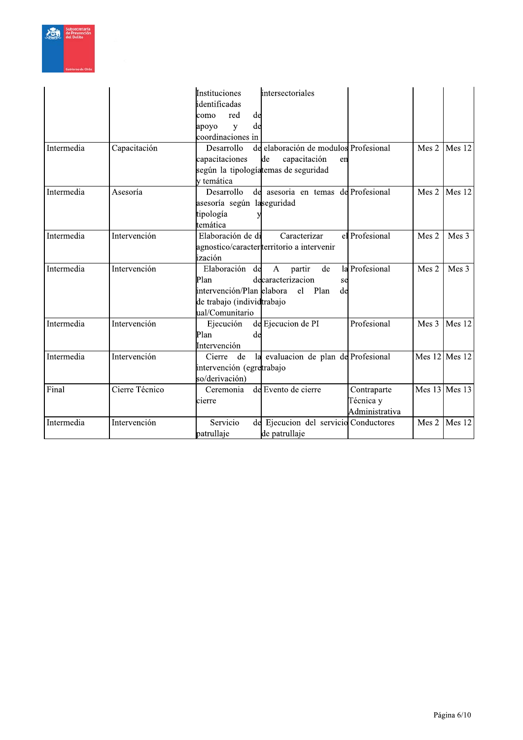

|            |                | intersectoriales<br>Instituciones<br>identificadas<br>de<br>red<br>como                                                                                                                               |                   |        |
|------------|----------------|-------------------------------------------------------------------------------------------------------------------------------------------------------------------------------------------------------|-------------------|--------|
|            |                | de<br>apoyo<br>y<br>coordinaciones in                                                                                                                                                                 |                   |        |
| Intermedia | Capacitación   | de elaboración de modulos Profesional<br>Desarrollo<br>capacitación<br>capacitaciones<br>de<br>en<br>según la tipologíatemas de seguridad<br>v temática                                               | Mes 2             | Mes 12 |
| Intermedia | Asesoría       | de asesoria en temas de Profesional<br>Desarrollo<br>asesoría según laseguridad<br>tipología<br>temática                                                                                              | Mes 2             | Mes 12 |
| Intermedia | Intervención   | Elaboración de di<br>el Profesional<br>Caracterizar<br>agnostico/caracter territorio a intervenir<br>lización                                                                                         | Mes 2             | Mes 3  |
| Intermedia | Intervención   | Elaboración de<br>la Profesional<br>$\mathsf{A}$<br>partir<br>de<br>decaracterizacion<br>Plan<br>se<br>intervención/Plan elabora<br>Plan<br>el<br>de<br>de trabajo (individtrabajo<br>ual/Comunitario | Mes 2             | Mes 3  |
| Intermedia | Intervención   | Profesional<br>de Ejecucion de PI<br>Ejecución<br>Plan<br>de<br>Intervención                                                                                                                          | Mes 3             | Mes 12 |
| Intermedia | Intervención   | la evaluacion de plan de Profesional<br>Cierre<br>de<br>intervención (egretrabajo<br>so/derivación)                                                                                                   | Mes $12$ Mes $12$ |        |
| Final      | Cierre Técnico | de Evento de cierre<br>Ceremonia<br>Contraparte<br>Técnica y<br>cierre<br>Administrativa                                                                                                              | Mes 13 Mes 13     |        |
| Intermedia | Intervención   | Servicio<br>de Ejecucion del servicio Conductores<br>patrullaje<br>de patrullaje                                                                                                                      | Mes 2             | Mes 12 |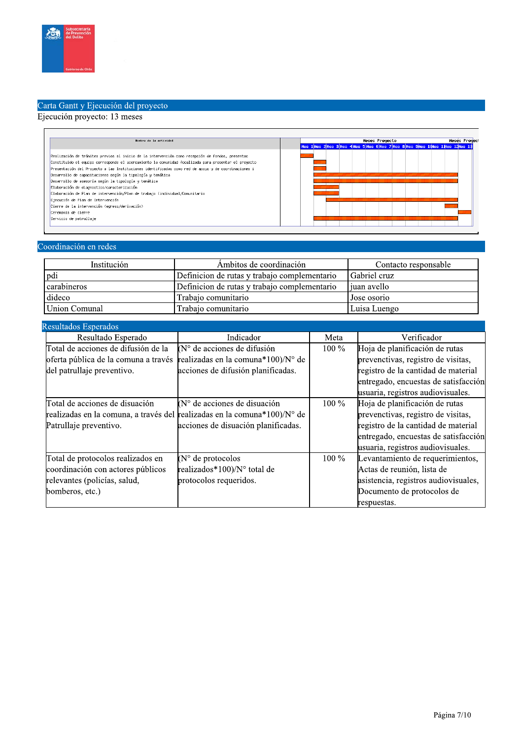

# Carta Gantt y Ejecución del proyecto<br>Ejecución proyecto: 13 meses

| Nombre de la actividad                                                                                                                                                                                                                                                                                                                                                                                                                                                                                                                                                                                                                                                                                    |  | <b>Meses Proyecto</b> |  |  |  |  |  |  |  |  | <b>Heses Proyect</b>                                                             |  |  |
|-----------------------------------------------------------------------------------------------------------------------------------------------------------------------------------------------------------------------------------------------------------------------------------------------------------------------------------------------------------------------------------------------------------------------------------------------------------------------------------------------------------------------------------------------------------------------------------------------------------------------------------------------------------------------------------------------------------|--|-----------------------|--|--|--|--|--|--|--|--|----------------------------------------------------------------------------------|--|--|
|                                                                                                                                                                                                                                                                                                                                                                                                                                                                                                                                                                                                                                                                                                           |  |                       |  |  |  |  |  |  |  |  | Hes 1 Hes 2 Hes 3 Hes 4 Hes 5 Hes 6 Hes 7 Hes 8 Hes 9 Hes 1 Hes 1 Hes 1 2 Hes 13 |  |  |
| Realización de trámites previos al inicio de la intervención como recepción de fondos, presentac<br>Constituido el equipo corresponde el acercamiento la comunidad focalizada para presentar el proyecto<br>Presentación del Proyecto a las Instituciones identificadas como red de apoyo y de coordinaciones i<br>Desarrollo de capacitaciones según la tipología y temática<br>Desarrollo de asesoría según la tipología y temática<br>Elaboración de diagnostico/caracterización<br>Elaboración de Plan de intervención/Plan de trabajo (individual/Comunitario<br>Ejecución de Plan de Intervención<br>Cierre de la intervención (egreso/derivación)<br>Ceremonia de cierre<br>Servicio de patrullaje |  |                       |  |  |  |  |  |  |  |  |                                                                                  |  |  |

#### Coordinación en redes

| Institución        | Ambitos de coordinación                      | Contacto responsable |
|--------------------|----------------------------------------------|----------------------|
| Ipdi               | Definicion de rutas y trabajo complementario | <b>Sabriel cruz</b>  |
| <i>carabineros</i> | Definicion de rutas y trabajo complementario | l iuan avello        |
| dideco             | Trabajo comunitario                          | I Jose osorio        |
| Union Comunal      | Trabajo comunitario                          | Luisa Luengo         |

| Resultados Esperados                 |                                                                          |         |                                      |
|--------------------------------------|--------------------------------------------------------------------------|---------|--------------------------------------|
| Resultado Esperado                   | Indicador                                                                | Meta    | Verificador                          |
| Total de acciones de difusión de la  | $(N°$ de acciones de difusión                                            | $100\%$ | Hoja de planificación de rutas       |
| oferta pública de la comuna a través | realizadas en la comuna*100)/N° de                                       |         | prevenctivas, registro de visitas,   |
| del patrullaje preventivo.           | acciones de difusión planificadas.                                       |         | registro de la cantidad de material  |
|                                      |                                                                          |         | entregado, encuestas de satisfacción |
|                                      |                                                                          |         | usuaria, registros audiovisuales.    |
| Total de acciones de disuación       | $(No$ de acciones de disuación                                           | $100\%$ | Hoja de planificación de rutas       |
|                                      | realizadas en la comuna, a través del realizadas en la comuna*100)/N° de |         | prevenctivas, registro de visitas,   |
| Patrullaje preventivo.               | acciones de disuación planificadas.                                      |         | registro de la cantidad de material  |
|                                      |                                                                          |         | entregado, encuestas de satisfacción |
|                                      |                                                                          |         | usuaria, registros audiovisuales.    |
| Total de protocolos realizados en    | $(N^{\circ}$ de protocolos                                               | $100\%$ | Levantamiento de requerimientos,     |
| coordinación con actores públicos    | realizados*100)/N° total de                                              |         | Actas de reunión, lista de           |
| relevantes (policías, salud,         | protocolos requeridos.                                                   |         | asistencia, registros audiovisuales, |
| bomberos, etc.)                      |                                                                          |         | Documento de protocolos de           |
|                                      |                                                                          |         | respuestas.                          |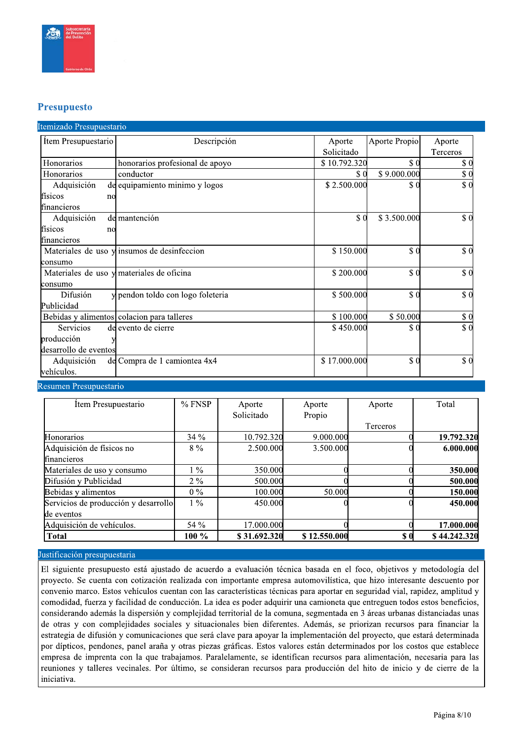

#### **Presupuesto**

| Item Presupuestario   | Descripción                                   | Aporte       | Aporte Propio | Aporte                      |
|-----------------------|-----------------------------------------------|--------------|---------------|-----------------------------|
|                       |                                               | Solicitado   |               | Terceros                    |
| Honorarios            | honorarios profesional de apoyo               | \$10.792.320 | \$0           | \$0                         |
| <b>Honorarios</b>     | conductor                                     | \$ (         | \$9.000.000   | \$0                         |
| Adquisición           | de equipamiento minimo y logos                | \$2.500.000  | $\$ 0$        | \$0                         |
| físicos<br>no         |                                               |              |               |                             |
| financieros           |                                               |              |               |                             |
| Adquisición           | de mantención                                 | \$0          | \$3.500.000   | $\$ 0$                      |
| físicos<br>no         |                                               |              |               |                             |
| financieros           |                                               |              |               |                             |
|                       | Materiales de uso $y$ insumos de desinfeccion | \$150.000    | \$0           | $\boldsymbol{\mathsf{S}}$ 0 |
| lconsumo              |                                               |              |               |                             |
|                       | Materiales de uso y materiales de oficina     | \$200.000    | \$0           | $\boldsymbol{S}$ 0          |
| lconsumo              |                                               |              |               |                             |
| Difusión              | y pendon toldo con logo foleteria             | \$500.000    | \$0           | \$0                         |
| Publicidad            |                                               |              |               |                             |
|                       | Bebidas y alimentos colacion para talleres    | \$100.000    | \$50.000      | \$0                         |
| Servicios             | de evento de cierre                           | \$450.000    | \$0           | \$0                         |
| producción            |                                               |              |               |                             |
| desarrollo de eventos |                                               |              |               |                             |
| Adquisición           | de Compra de 1 camiontea 4x4                  | \$17.000.000 | \$0           | \$0                         |
| vehículos.            |                                               |              |               |                             |

Resumen Presupuestario

| Item Presupuestario                  | $%$ FNSP | Aporte       | Aporte       | Aporte                                           | Total        |
|--------------------------------------|----------|--------------|--------------|--------------------------------------------------|--------------|
|                                      |          | Solicitado   | Propio       |                                                  |              |
|                                      |          |              |              | Terceros                                         |              |
| Honorarios                           | $34\%$   | 10.792.320   | 9.000.000    |                                                  | 19.792.320   |
| Adquisición de físicos no            | $8\%$    | 2.500.000    | 3.500.000    |                                                  | 6.000.000    |
| financieros                          |          |              |              |                                                  |              |
| Materiales de uso y consumo          | $1\%$    | 350.000      |              |                                                  | 350.000      |
| Difusión y Publicidad                | $2\%$    | 500.000      |              |                                                  | 500.000      |
| Bebidas y alimentos                  | $0\%$    | 100.000      | 50.000       |                                                  | 150.000      |
| Servicios de producción y desarrollo | $1\%$    | 450.000      |              |                                                  | 450.000      |
| de eventos                           |          |              |              |                                                  |              |
| Adquisición de vehículos.            | 54 %     | 17.000.000   |              |                                                  | 17.000.000   |
| <b>Total</b>                         | $100\%$  | \$31.692.320 | \$12.550.000 | $\boldsymbol{\mathsf{s}}\boldsymbol{\mathsf{0}}$ | \$44.242.320 |

#### Justificación presupuestaria

El siguiente presupuesto está ajustado de acuerdo a evaluación técnica basada en el foco, objetivos y metodología del proyecto. Se cuenta con cotización realizada con importante empresa automovilística, que hizo interesante descuento por convenio marco. Estos vehículos cuentan con las características técnicas para aportar en seguridad vial, rapidez, amplitud y comodidad, fuerza y facilidad de conducción. La idea es poder adquirir una camioneta que entreguen todos estos beneficios, considerando además la dispersión y complejidad territorial de la comuna, segmentada en 3 áreas urbanas distanciadas unas de otras y con complejidades sociales y situacionales bien diferentes. Además, se priorizan recursos para financiar la estrategia de difusión y comunicaciones que será clave para apoyar la implementación del proyecto, que estará determinada por dípticos, pendones, panel araña y otras piezas gráficas. Estos valores están determinados por los costos que establece empresa de imprenta con la que trabajamos. Paralelamente, se identifican recursos para alimentación, necesaria para las reuniones y talleres vecinales. Por último, se consideran recursos para producción del hito de inicio y de cierre de la iniciativa.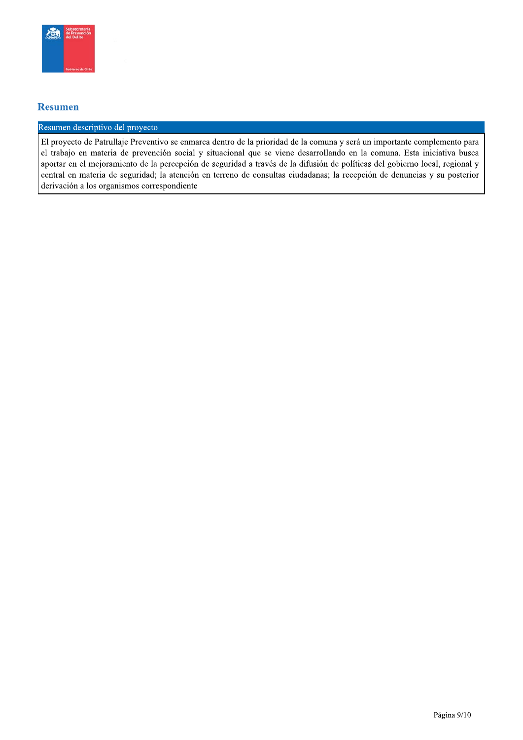

#### **Resumen**

#### Resumen descriptivo del proyecto

El proyecto de Patrullaje Preventivo se enmarca dentro de la prioridad de la comuna y será un importante complemento para el trabajo en materia de prevención social y situacional que se viene desarrollando en la comuna. Esta iniciativa busca aportar en el mejoramiento de la percepción de seguridad a través de la difusión de políticas del gobierno local, regional y central en materia de seguridad; la atención en terreno de consultas ciudadanas; la recepción de denuncias y su posterior derivación a los organismos correspondiente